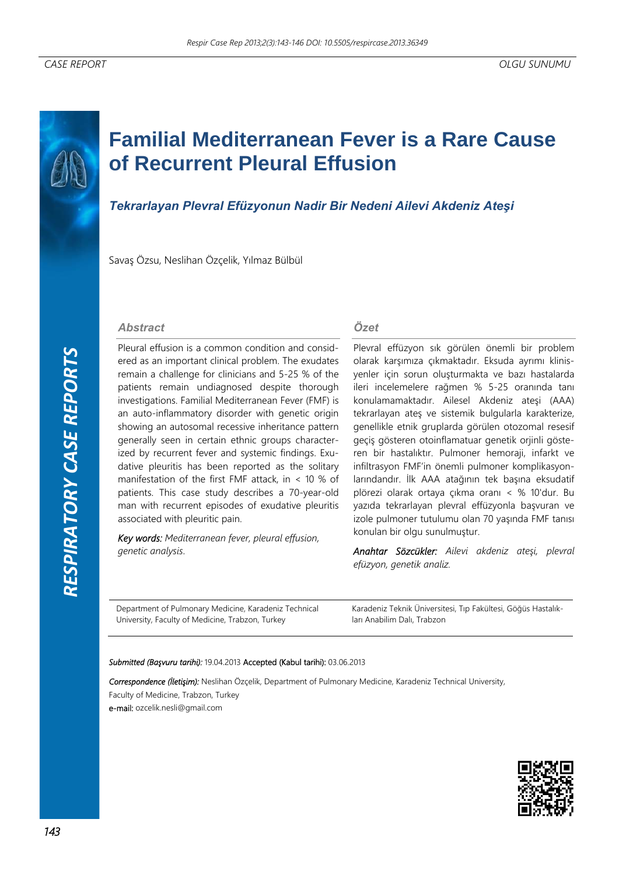# **Familial Mediterranean Fever is a Rare Cause of Recurrent Pleural Effusion**

# *Tekrarlayan Plevral Efüzyonun Nadir Bir Nedeni Ailevi Akdeniz Ateşi*

Savaş Özsu, Neslihan Özçelik, Yılmaz Bülbül

### *Abstract*

Pleural effusion is a common condition and considered as an important clinical problem. The exudates remain a challenge for clinicians and 5-25 % of the patients remain undiagnosed despite thorough investigations. Familial Mediterranean Fever (FMF) is an auto-inflammatory disorder with genetic origin showing an autosomal recessive inheritance pattern generally seen in certain ethnic groups characterized by recurrent fever and systemic findings. Exudative pleuritis has been reported as the solitary manifestation of the first FMF attack, in < 10 % of patients. This case study describes a 70-year-old man with recurrent episodes of exudative pleuritis associated with pleuritic pain.

*Key words: Mediterranean fever, pleural effusion, genetic analysis*.

## *Özet*

Plevral effüzyon sık görülen önemli bir problem olarak karşımıza çıkmaktadır. Eksuda ayrımı klinisyenler için sorun oluşturmakta ve bazı hastalarda ileri incelemelere rağmen % 5-25 oranında tanı konulamamaktadır. Ailesel Akdeniz ateşi (AAA) tekrarlayan ateş ve sistemik bulgularla karakterize, genellikle etnik gruplarda görülen otozomal resesif geçiş gösteren otoinflamatuar genetik orjinli gösteren bir hastalıktır. Pulmoner hemoraji, infarkt ve infiltrasyon FMF'in önemli pulmoner komplikasyonlarındandır. İlk AAA atağının tek başına eksudatif plörezi olarak ortaya çıkma oranı < % 10'dur. Bu yazıda tekrarlayan plevral effüzyonla başvuran ve izole pulmoner tutulumu olan 70 yaşında FMF tanısı konulan bir olgu sunulmuştur.

*Anahtar Sözcükler: Ailevi akdeniz ateşi, plevral efüzyon, genetik analiz.* 

Department of Pulmonary Medicine, Karadeniz Technical University, Faculty of Medicine, Trabzon, Turkey

Karadeniz Teknik Üniversitesi, Tıp Fakültesi, Göğüs Hastalıkları Anabilim Dalı, Trabzon

#### *Submitted (Başvuru tarihi):* 19.04.2013 Accepted (Kabul tarihi): 03.06.2013

*Correspondence (İletişim):* Neslihan Özçelik, Department of Pulmonary Medicine, Karadeniz Technical University, Faculty of Medicine, Trabzon, Turkey e-mail: ozcelik.nesli@gmail.com

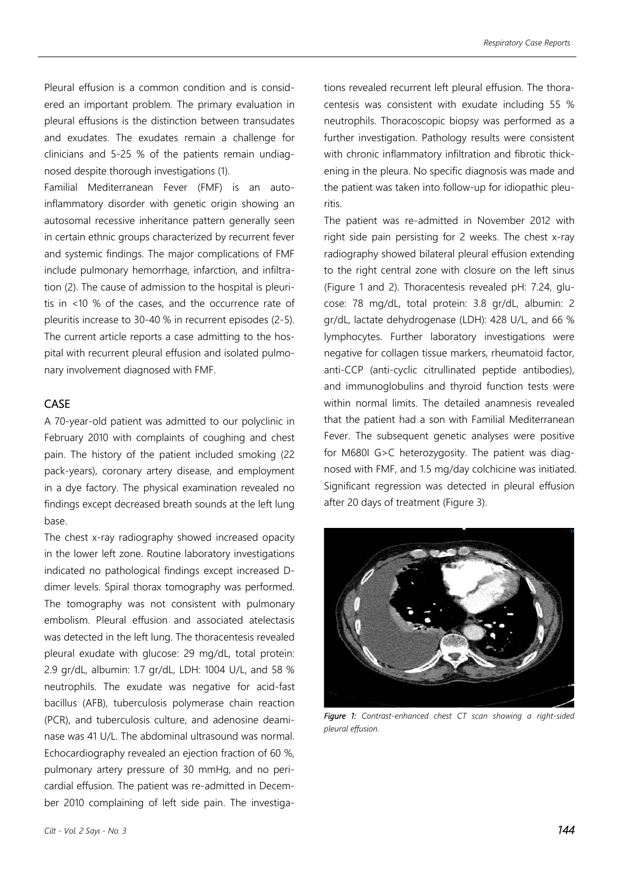Pleural effusion is a common condition and is considered an important problem. The primary evaluation in pleural effusions is the distinction between transudates and exudates. The exudates remain a challenge for clinicians and 5-25 % of the patients remain undiagnosed despite thorough investigations (1).

Familial Mediterranean Fever (FMF) is an autoinflammatory disorder with genetic origin showing an autosomal recessive inheritance pattern generally seen in certain ethnic groups characterized by recurrent fever and systemic findings. The major complications of FMF include pulmonary hemorrhage, infarction, and infiltration (2). The cause of admission to the hospital is pleuritis in <10 % of the cases, and the occurrence rate of pleuritis increase to 30-40 % in recurrent episodes (2-5). The current article reports a case admitting to the hospital with recurrent pleural effusion and isolated pulmonary involvement diagnosed with FMF.

# CASE

A 70-year-old patient was admitted to our polyclinic in February 2010 with complaints of coughing and chest pain. The history of the patient included smoking (22 pack-years), coronary artery disease, and employment in a dye factory. The physical examination revealed no findings except decreased breath sounds at the left lung base.

The chest x-ray radiography showed increased opacity in the lower left zone. Routine laboratory investigations indicated no pathological findings except increased Ddimer levels. Spiral thorax tomography was performed. The tomography was not consistent with pulmonary embolism. Pleural effusion and associated atelectasis was detected in the left lung. The thoracentesis revealed pleural exudate with glucose: 29 mg/dL, total protein: 2.9 gr/dL, albumin: 1.7 gr/dL, LDH: 1004 U/L, and 58 % neutrophils. The exudate was negative for acid-fast bacillus (AFB), tuberculosis polymerase chain reaction (PCR), and tuberculosis culture, and adenosine deaminase was 41 U/L. The abdominal ultrasound was normal. Echocardiography revealed an ejection fraction of 60 %, pulmonary artery pressure of 30 mmHg, and no pericardial effusion. The patient was re-admitted in December 2010 complaining of left side pain. The investigations revealed recurrent left pleural effusion. The thoracentesis was consistent with exudate including 55 % neutrophils. Thoracoscopic biopsy was performed as a further investigation. Pathology results were consistent with chronic inflammatory infiltration and fibrotic thickening in the pleura. No specific diagnosis was made and the patient was taken into follow-up for idiopathic pleuritis.

The patient was re-admitted in November 2012 with right side pain persisting for 2 weeks. The chest x-ray radiography showed bilateral pleural effusion extending to the right central zone with closure on the left sinus (Figure 1 and 2). Thoracentesis revealed pH: 7.24, glucose: 78 mg/dL, total protein: 3.8 gr/dL, albumin: 2 gr/dL, lactate dehydrogenase (LDH): 428 U/L, and 66 % lymphocytes. Further laboratory investigations were negative for collagen tissue markers, rheumatoid factor, anti-CCP (anti-cyclic citrullinated peptide antibodies), and immunoglobulins and thyroid function tests were within normal limits. The detailed anamnesis revealed that the patient had a son with Familial Mediterranean Fever. The subsequent genetic analyses were positive for M680I G>C heterozygosity. The patient was diagnosed with FMF, and 1.5 mg/day colchicine was initiated. Significant regression was detected in pleural effusion after 20 days of treatment (Figure 3).



*Figure 1: Contrast-enhanced chest CT scan showing a right-sided pleural effusion.*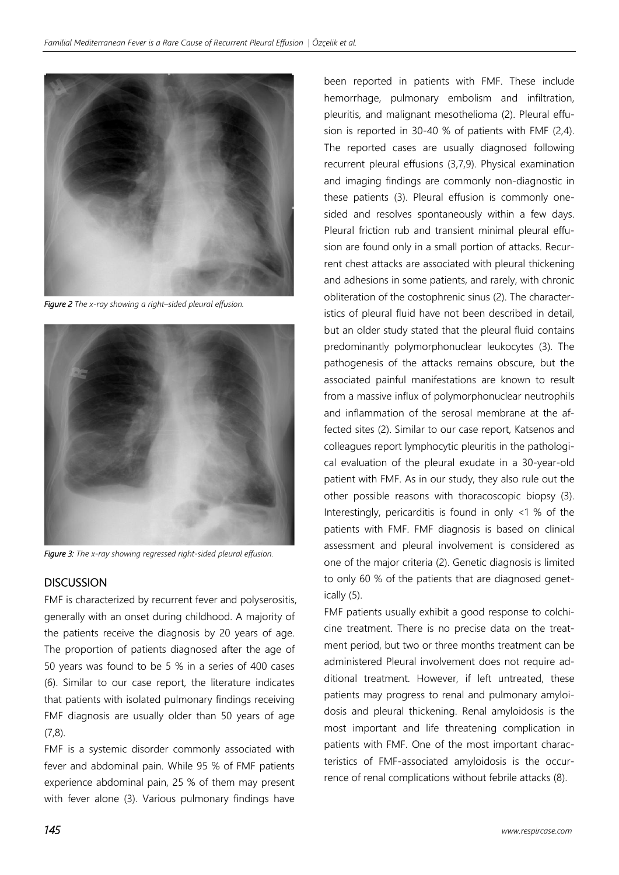

*Figure 2 The x-ray showing a right–sided pleural effusion.*



*Figure 3: The x-ray showing regressed right-sided pleural effusion.*

## **DISCUSSION**

FMF is characterized by recurrent fever and polyserositis, generally with an onset during childhood. A majority of the patients receive the diagnosis by 20 years of age. The proportion of patients diagnosed after the age of 50 years was found to be 5 % in a series of 400 cases (6). Similar to our case report, the literature indicates that patients with isolated pulmonary findings receiving FMF diagnosis are usually older than 50 years of age (7,8).

FMF is a systemic disorder commonly associated with fever and abdominal pain. While 95 % of FMF patients experience abdominal pain, 25 % of them may present with fever alone (3). Various pulmonary findings have been reported in patients with FMF. These include hemorrhage, pulmonary embolism and infiltration, pleuritis, and malignant mesothelioma (2). Pleural effusion is reported in 30-40 % of patients with FMF (2,4). The reported cases are usually diagnosed following recurrent pleural effusions (3,7,9). Physical examination and imaging findings are commonly non-diagnostic in these patients (3). Pleural effusion is commonly onesided and resolves spontaneously within a few days. Pleural friction rub and transient minimal pleural effusion are found only in a small portion of attacks. Recurrent chest attacks are associated with pleural thickening and adhesions in some patients, and rarely, with chronic obliteration of the costophrenic sinus (2). The characteristics of pleural fluid have not been described in detail, but an older study stated that the pleural fluid contains predominantly polymorphonuclear leukocytes (3). The pathogenesis of the attacks remains obscure, but the associated painful manifestations are known to result from a massive influx of polymorphonuclear neutrophils and inflammation of the serosal membrane at the affected sites (2). Similar to our case report, Katsenos and colleagues report lymphocytic pleuritis in the pathological evaluation of the pleural exudate in a 30-year-old patient with FMF. As in our study, they also rule out the other possible reasons with thoracoscopic biopsy (3). Interestingly, pericarditis is found in only <1 % of the patients with FMF. FMF diagnosis is based on clinical assessment and pleural involvement is considered as one of the major criteria (2). Genetic diagnosis is limited to only 60 % of the patients that are diagnosed genetically (5).

FMF patients usually exhibit a good response to colchicine treatment. There is no precise data on the treatment period, but two or three months treatment can be administered Pleural involvement does not require additional treatment. However, if left untreated, these patients may progress to renal and pulmonary amyloidosis and pleural thickening. Renal amyloidosis is the most important and life threatening complication in patients with FMF. One of the most important characteristics of FMF-associated amyloidosis is the occurrence of renal complications without febrile attacks (8).